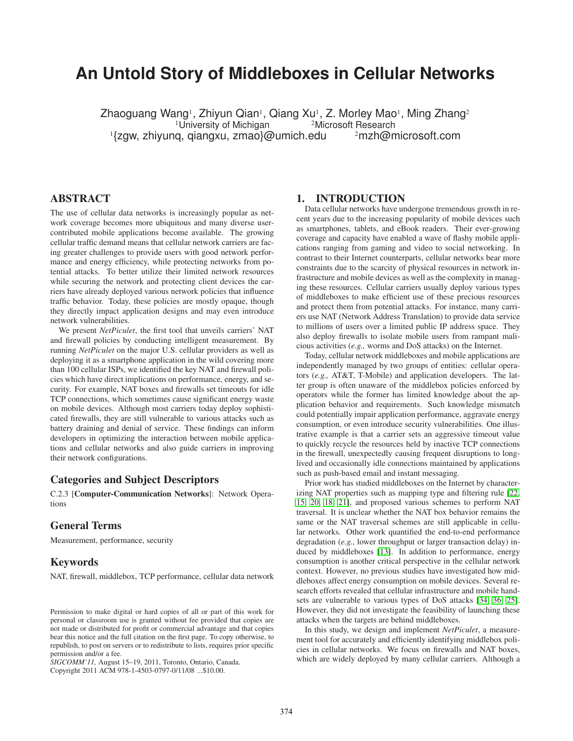# **An Untold Story of Middleboxes in Cellular Networks**

Zhaoguang Wang<sup>1</sup>, Zhiyun Qian<sup>1</sup>, Qiang Xu<sup>1</sup>, Z. Morley Mao<sup>1</sup>, Ming Zhang<sup>2</sup> <sup>1</sup>University of Michigan <sup>2</sup>Microsoft Research<br>q, qiangxu, zmao}@umich.edu <sup>2</sup>mzh@microsoft.com <sup>1</sup>{zgw, zhiyunq, qiangxu, zmao}@umich.edu and <sup>2</sup>mzh@microsoft.com

# **ABSTRACT**

The use of cellular data networks is increasingly popular as network coverage becomes more ubiquitous and many diverse usercontributed mobile applications become available. The growing cellular traffic demand means that cellular network carriers are facing greater challenges to provide users with good network performance and energy efficiency, while protecting networks from potential attacks. To better utilize their limited network resources while securing the network and protecting client devices the carriers have already deployed various network policies that influence traffic behavior. Today, these policies are mostly opaque, though they directly impact application designs and may even introduce network vulnerabilities.

We present *NetPiculet*, the first tool that unveils carriers' NAT and firewall policies by conducting intelligent measurement. By running *NetPiculet* on the major U.S. cellular providers as well as deploying it as a smartphone application in the wild covering more than 100 cellular ISPs, we identified the key NAT and firewall policies which have direct implications on performance, energy, and security. For example, NAT boxes and firewalls set timeouts for idle TCP connections, which sometimes cause significant energy waste on mobile devices. Although most carriers today deploy sophisticated firewalls, they are still vulnerable to various attacks such as battery draining and denial of service. These findings can inform developers in optimizing the interaction between mobile applications and cellular networks and also guide carriers in improving their network configurations.

# **Categories and Subject Descriptors**

C.2.3 [**Computer-Communication Networks**]: Network Operations

# **General Terms**

Measurement, performance, security

# **Keywords**

NAT, firewall, middlebox, TCP performance, cellular data network

*SIGCOMM'11,* August 15–19, 2011, Toronto, Ontario, Canada. Copyright 2011 ACM 978-1-4503-0797-0/11/08 ...\$10.00.

## **1. INTRODUCTION**

Data cellular networks have undergone tremendous growth in recent years due to the increasing popularity of mobile devices such as smartphones, tablets, and eBook readers. Their ever-growing coverage and capacity have enabled a wave of flashy mobile applications ranging from gaming and video to social networking. In contrast to their Internet counterparts, cellular networks bear more constraints due to the scarcity of physical resources in network infrastructure and mobile devices as well as the complexity in managing these resources. Cellular carriers usually deploy various types of middleboxes to make efficient use of these precious resources and protect them from potential attacks. For instance, many carriers use NAT (Network Address Translation) to provide data service to millions of users over a limited public IP address space. They also deploy firewalls to isolate mobile users from rampant malicious activities (*e.g.,* worms and DoS attacks) on the Internet.

Today, cellular network middleboxes and mobile applications are independently managed by two groups of entities: cellular operators (*e.g.,* AT&T, T-Mobile) and application developers. The latter group is often unaware of the middlebox policies enforced by operators while the former has limited knowledge about the application behavior and requirements. Such knowledge mismatch could potentially impair application performance, aggravate energy consumption, or even introduce security vulnerabilities. One illustrative example is that a carrier sets an aggressive timeout value to quickly recycle the resources held by inactive TCP connections in the firewall, unexpectedly causing frequent disruptions to longlived and occasionally idle connections maintained by applications such as push-based email and instant messaging.

Prior work has studied middleboxes on the Internet by characterizing NAT properties such as mapping type and filtering rule [\[22,](#page-11-0) [15,](#page-11-1) [20,](#page-11-2) [18,](#page-11-3) [21\]](#page-11-4), and proposed various schemes to perform NAT traversal. It is unclear whether the NAT box behavior remains the same or the NAT traversal schemes are still applicable in cellular networks. Other work quantified the end-to-end performance degradation (*e.g.,* lower throughput or larger transaction delay) induced by middleboxes [\[13\]](#page-11-5). In addition to performance, energy consumption is another critical perspective in the cellular network context. However, no previous studies have investigated how middleboxes affect energy consumption on mobile devices. Several research efforts revealed that cellular infrastructure and mobile handsets are vulnerable to various types of DoS attacks [\[34,](#page-11-6) [36,](#page-11-7) [25\]](#page-11-8). However, they did not investigate the feasibility of launching these attacks when the targets are behind middleboxes.

In this study, we design and implement *NetPiculet*, a measurement tool for accurately and efficiently identifying middlebox policies in cellular networks. We focus on firewalls and NAT boxes, which are widely deployed by many cellular carriers. Although a

Permission to make digital or hard copies of all or part of this work for personal or classroom use is granted without fee provided that copies are not made or distributed for profit or commercial advantage and that copies bear this notice and the full citation on the first page. To copy otherwise, to republish, to post on servers or to redistribute to lists, requires prior specific permission and/or a fee.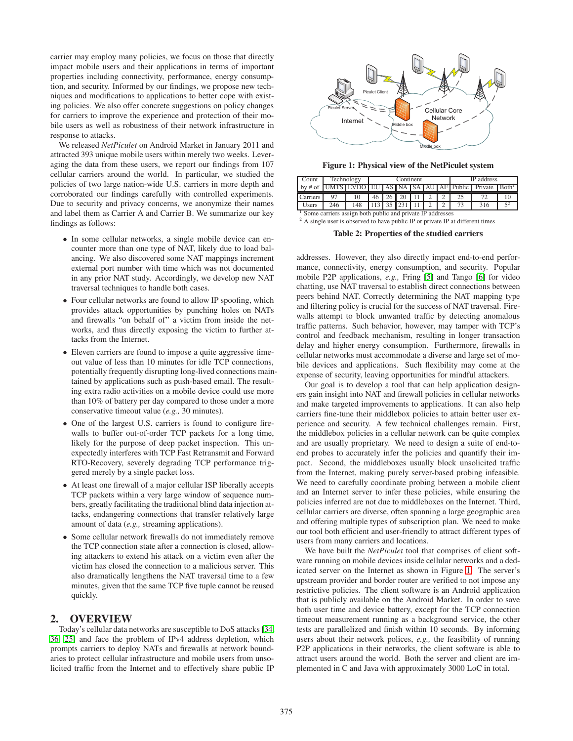carrier may employ many policies, we focus on those that directly impact mobile users and their applications in terms of important properties including connectivity, performance, energy consumption, and security. Informed by our findings, we propose new techniques and modifications to applications to better cope with existing policies. We also offer concrete suggestions on policy changes for carriers to improve the experience and protection of their mobile users as well as robustness of their network infrastructure in response to attacks.

We released *NetPiculet* on Android Market in January 2011 and attracted 393 unique mobile users within merely two weeks. Leveraging the data from these users, we report our findings from 107 cellular carriers around the world. In particular, we studied the policies of two large nation-wide U.S. carriers in more depth and corroborated our findings carefully with controlled experiments. Due to security and privacy concerns, we anonymize their names and label them as Carrier A and Carrier B. We summarize our key findings as follows:

- In some cellular networks, a single mobile device can encounter more than one type of NAT, likely due to load balancing. We also discovered some NAT mappings increment external port number with time which was not documented in any prior NAT study. Accordingly, we develop new NAT traversal techniques to handle both cases.
- Four cellular networks are found to allow IP spoofing, which provides attack opportunities by punching holes on NATs and firewalls "on behalf of" a victim from inside the networks, and thus directly exposing the victim to further attacks from the Internet.
- Eleven carriers are found to impose a quite aggressive timeout value of less than 10 minutes for idle TCP connections, potentially frequently disrupting long-lived connections maintained by applications such as push-based email. The resulting extra radio activities on a mobile device could use more than 10% of battery per day compared to those under a more conservative timeout value (*e.g.,* 30 minutes).
- One of the largest U.S. carriers is found to configure firewalls to buffer out-of-order TCP packets for a long time, likely for the purpose of deep packet inspection. This unexpectedly interferes with TCP Fast Retransmit and Forward RTO-Recovery, severely degrading TCP performance triggered merely by a single packet loss.
- At least one firewall of a major cellular ISP liberally accepts TCP packets within a very large window of sequence numbers, greatly facilitating the traditional blind data injection attacks, endangering connections that transfer relatively large amount of data (*e.g.,* streaming applications).
- Some cellular network firewalls do not immediately remove the TCP connection state after a connection is closed, allowing attackers to extend his attack on a victim even after the victim has closed the connection to a malicious server. This also dramatically lengthens the NAT traversal time to a few minutes, given that the same TCP five tuple cannot be reused quickly.

# **2. OVERVIEW**

Today's cellular data networks are susceptible to DoS attacks [\[34,](#page-11-6) [36,](#page-11-7) [25\]](#page-11-8) and face the problem of IPv4 address depletion, which prompts carriers to deploy NATs and firewalls at network boundaries to protect cellular infrastructure and mobile users from unsolicited traffic from the Internet and to effectively share public IP



<span id="page-1-0"></span>**Figure 1: Physical view of the NetPiculet system**

| Count                                                     | Technology | Continent |  |  |                   |  | IP address |  |  |     |    |
|-----------------------------------------------------------|------------|-----------|--|--|-------------------|--|------------|--|--|-----|----|
| by # of UMTS EVDO EU AS NA SA AU AF Public Private Both   |            |           |  |  |                   |  |            |  |  |     |    |
| Carriers                                                  | 97         | 10        |  |  | 46   26   20   11 |  |            |  |  |     | 10 |
| <b>Users</b>                                              | 246        | 148       |  |  | 113 35 231 11     |  |            |  |  | 316 |    |
| Some carriers assign both public and private IP addresses |            |           |  |  |                   |  |            |  |  |     |    |

<sup>2</sup> A single user is observed to have public IP or private IP at different times

<span id="page-1-1"></span>**Table 2: Properties of the studied carriers**

addresses. However, they also directly impact end-to-end performance, connectivity, energy consumption, and security. Popular mobile P2P applications, *e.g.,* Fring [\[5\]](#page-11-9) and Tango [\[6\]](#page-11-10) for video chatting, use NAT traversal to establish direct connections between peers behind NAT. Correctly determining the NAT mapping type and filtering policy is crucial for the success of NAT traversal. Firewalls attempt to block unwanted traffic by detecting anomalous traffic patterns. Such behavior, however, may tamper with TCP's control and feedback mechanism, resulting in longer transaction delay and higher energy consumption. Furthermore, firewalls in cellular networks must accommodate a diverse and large set of mobile devices and applications. Such flexibility may come at the expense of security, leaving opportunities for mindful attackers.

Our goal is to develop a tool that can help application designers gain insight into NAT and firewall policies in cellular networks and make targeted improvements to applications. It can also help carriers fine-tune their middlebox policies to attain better user experience and security. A few technical challenges remain. First, the middlebox policies in a cellular network can be quite complex and are usually proprietary. We need to design a suite of end-toend probes to accurately infer the policies and quantify their impact. Second, the middleboxes usually block unsolicited traffic from the Internet, making purely server-based probing infeasible. We need to carefully coordinate probing between a mobile client and an Internet server to infer these policies, while ensuring the policies inferred are not due to middleboxes on the Internet. Third, cellular carriers are diverse, often spanning a large geographic area and offering multiple types of subscription plan. We need to make our tool both efficient and user-friendly to attract different types of users from many carriers and locations.

We have built the *NetPiculet* tool that comprises of client software running on mobile devices inside cellular networks and a dedicated server on the Internet as shown in Figure [1.](#page-1-0) The server's upstream provider and border router are verified to not impose any restrictive policies. The client software is an Android application that is publicly available on the Android Market. In order to save both user time and device battery, except for the TCP connection timeout measurement running as a background service, the other tests are parallelized and finish within 10 seconds. By informing users about their network polices, *e.g.,* the feasibility of running P2P applications in their networks, the client software is able to attract users around the world. Both the server and client are implemented in C and Java with approximately 3000 LoC in total.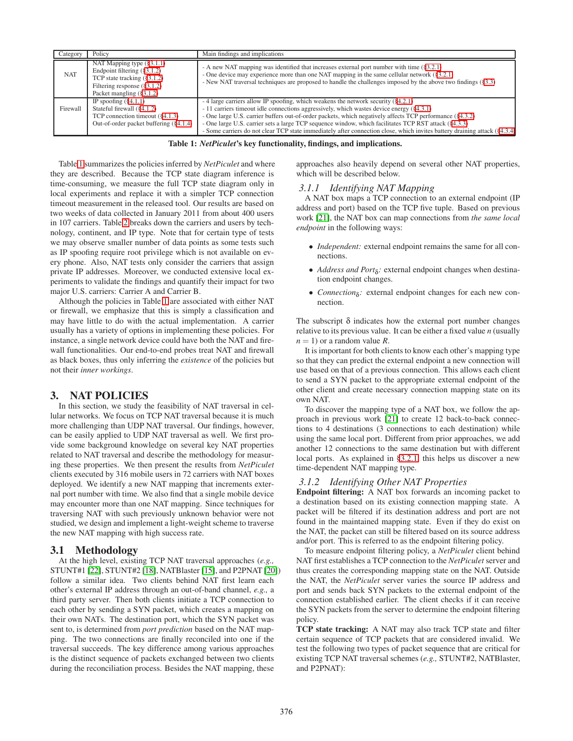| Category   | Policy                                                                                                                                                               | Main findings and implications                                                                                                                                                                                                                                                                                                                                                                                                                                                                                                   |
|------------|----------------------------------------------------------------------------------------------------------------------------------------------------------------------|----------------------------------------------------------------------------------------------------------------------------------------------------------------------------------------------------------------------------------------------------------------------------------------------------------------------------------------------------------------------------------------------------------------------------------------------------------------------------------------------------------------------------------|
| <b>NAT</b> | NAT Mapping type $(\S 3.1.1)$<br>Endpoint filtering $(\S 3.1.2)$<br>TCP state tracking $(§3.1.2)$<br>Filtering response $(\S 3.1.2)$<br>Packet mangling $(\S 3.1.2)$ | - A new NAT mapping was identified that increases external port number with time (§3.2.1)<br>- One device may experience more than one NAT mapping in the same cellular network (§3.2.1)<br>- New NAT traversal techniques are proposed to handle the challenges imposed by the above two findings (§3.3)                                                                                                                                                                                                                        |
| Firewall   | IP spoofing $(\S 4.1.1)$<br>Stateful firewall $(\S4.1.2)$<br>TCP connection timeout $(\S 4.1.3)$<br>Out-of-order packet buffering (§4.1.4)                           | - 4 large carriers allow IP spoofing, which weakens the network security (§4.2.1)<br>- 11 carriers timeout idle connections aggressively, which was test device energy (§4.3.1)<br>- One large U.S. carrier buffers out-of-order packets, which negatively affects TCP performance (§4.3.2)<br>- One large U.S. carrier sets a large TCP sequence window, which facilitates TCP RST attack (§4.3.3)<br>- Some carriers do not clear TCP state immediately after connection close, which invites battery draining attack (§4.3.4) |

<span id="page-2-2"></span>**Table 1:** *NetPiculet***'s key functionality, findings, and implications.**

Table [1](#page-2-2) summarizes the policies inferred by *NetPiculet* and where they are described. Because the TCP state diagram inference is time-consuming, we measure the full TCP state diagram only in local experiments and replace it with a simpler TCP connection timeout measurement in the released tool. Our results are based on two weeks of data collected in January 2011 from about 400 users in 107 carriers. Table [2](#page-1-1) breaks down the carriers and users by technology, continent, and IP type. Note that for certain type of tests we may observe smaller number of data points as some tests such as IP spoofing require root privilege which is not available on every phone. Also, NAT tests only consider the carriers that assign private IP addresses. Moreover, we conducted extensive local experiments to validate the findings and quantify their impact for two major U.S. carriers: Carrier A and Carrier B.

Although the policies in Table [1](#page-2-2) are associated with either NAT or firewall, we emphasize that this is simply a classification and may have little to do with the actual implementation. A carrier usually has a variety of options in implementing these policies. For instance, a single network device could have both the NAT and firewall functionalities. Our end-to-end probes treat NAT and firewall as black boxes, thus only inferring the *existence* of the policies but not their *inner workings*.

# **3. NAT POLICIES**

In this section, we study the feasibility of NAT traversal in cellular networks. We focus on TCP NAT traversal because it is much more challenging than UDP NAT traversal. Our findings, however, can be easily applied to UDP NAT traversal as well. We first provide some background knowledge on several key NAT properties related to NAT traversal and describe the methodology for measuring these properties. We then present the results from *NetPiculet* clients executed by 316 mobile users in 72 carriers with NAT boxes deployed. We identify a new NAT mapping that increments external port number with time. We also find that a single mobile device may encounter more than one NAT mapping. Since techniques for traversing NAT with such previously unknown behavior were not studied, we design and implement a light-weight scheme to traverse the new NAT mapping with high success rate.

# **3.1 Methodology**

At the high level, existing TCP NAT traversal approaches (*e.g.,* STUNT#1 [\[22\]](#page-11-0), STUNT#2 [\[18\]](#page-11-3), NATBlaster [\[15\]](#page-11-1), and P2PNAT [\[20\]](#page-11-2)) follow a similar idea. Two clients behind NAT first learn each other's external IP address through an out-of-band channel, *e.g.,* a third party server. Then both clients initiate a TCP connection to each other by sending a SYN packet, which creates a mapping on their own NATs. The destination port, which the SYN packet was sent to, is determined from *port prediction* based on the NAT mapping. The two connections are finally reconciled into one if the traversal succeeds. The key difference among various approaches is the distinct sequence of packets exchanged between two clients during the reconciliation process. Besides the NAT mapping, these

approaches also heavily depend on several other NAT properties, which will be described below.

# <span id="page-2-0"></span>*3.1.1 Identifying NAT Mapping*

A NAT box maps a TCP connection to an external endpoint (IP address and port) based on the TCP five tuple. Based on previous work [\[21\]](#page-11-4), the NAT box can map connections from *the same local endpoint* in the following ways:

- *Independent:* external endpoint remains the same for all connections.
- *Address and Port*<sub>δ</sub>: external endpoint changes when destination endpoint changes.
- *Connection*<sub>δ</sub>: external endpoint changes for each new connection.

The subscript  $\delta$  indicates how the external port number changes relative to its previous value. It can be either a fixed value *n* (usually  $n = 1$ ) or a random value *R*.

It is important for both clients to know each other's mapping type so that they can predict the external endpoint a new connection will use based on that of a previous connection. This allows each client to send a SYN packet to the appropriate external endpoint of the other client and create necessary connection mapping state on its own NAT.

To discover the mapping type of a NAT box, we follow the approach in previous work [\[21\]](#page-11-4) to create 12 back-to-back connections to 4 destinations (3 connections to each destination) while using the same local port. Different from prior approaches, we add another 12 connections to the same destination but with different local ports. As explained in [§3.2.1,](#page-3-0) this helps us discover a new time-dependent NAT mapping type.

# <span id="page-2-1"></span>*3.1.2 Identifying Other NAT Properties*

**Endpoint filtering:** A NAT box forwards an incoming packet to a destination based on its existing connection mapping state. A packet will be filtered if its destination address and port are not found in the maintained mapping state. Even if they do exist on the NAT, the packet can still be filtered based on its source address and/or port. This is referred to as the endpoint filtering policy.

To measure endpoint filtering policy, a *NetPiculet* client behind NAT first establishes a TCP connection to the *NetPiculet* server and thus creates the corresponding mapping state on the NAT. Outside the NAT, the *NetPiculet* server varies the source IP address and port and sends back SYN packets to the external endpoint of the connection established earlier. The client checks if it can receive the SYN packets from the server to determine the endpoint filtering policy.

**TCP state tracking:** A NAT may also track TCP state and filter certain sequence of TCP packets that are considered invalid. We test the following two types of packet sequence that are critical for existing TCP NAT traversal schemes (*e.g.,* STUNT#2, NATBlaster, and P2PNAT):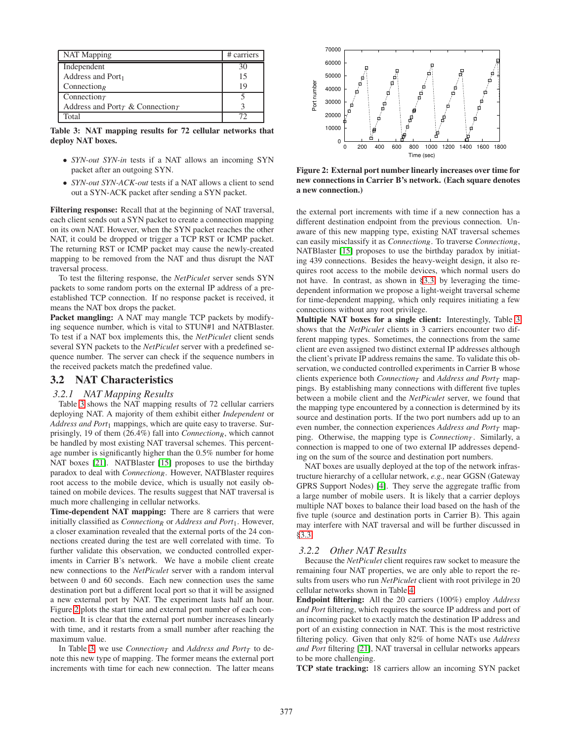| <b>NAT Mapping</b>                      | # carriers |
|-----------------------------------------|------------|
| Independent                             | 30         |
| Address and Port <sub>1</sub>           | 15         |
| Connection <sub>R</sub>                 | 19         |
| Connection $\tau$                       |            |
| Address and Port $_T$ & Connection $_T$ |            |
| Total                                   |            |

**Table 3: NAT mapping results for 72 cellular networks that deploy NAT boxes.**

- <span id="page-3-0"></span>• *SYN-out SYN-in* tests if a NAT allows an incoming SYN packet after an outgoing SYN.
- *SYN-out SYN-ACK-out* tests if a NAT allows a client to send out a SYN-ACK packet after sending a SYN packet.

**Filtering response:** Recall that at the beginning of NAT traversal, each client sends out a SYN packet to create a connection mapping on its own NAT. However, when the SYN packet reaches the other NAT, it could be dropped or trigger a TCP RST or ICMP packet. The returning RST or ICMP packet may cause the newly-created mapping to be removed from the NAT and thus disrupt the NAT traversal process.

To test the filtering response, the *NetPiculet* server sends SYN packets to some random ports on the external IP address of a preestablished TCP connection. If no response packet is received, it means the NAT box drops the packet.

**Packet mangling:** A NAT may mangle TCP packets by modifying sequence number, which is vital to STUN#1 and NATBlaster. To test if a NAT box implements this, the *NetPiculet* client sends several SYN packets to the *NetPiculet* server with a predefined sequence number. The server can check if the sequence numbers in the received packets match the predefined value.

# **3.2 NAT Characteristics**

# *3.2.1 NAT Mapping Results*

Table [3](#page-3-0) shows the NAT mapping results of 72 cellular carriers deploying NAT. A majority of them exhibit either *Independent* or *Address and Port*<sup>1</sup> mappings, which are quite easy to traverse. Surprisingly, 19 of them (26.4%) fall into *ConnectionR*, which cannot be handled by most existing NAT traversal schemes. This percentage number is significantly higher than the 0.5% number for home NAT boxes [\[21\]](#page-11-4). NATBlaster [\[15\]](#page-11-1) proposes to use the birthday paradox to deal with *ConnectionR*. However, NATBlaster requires root access to the mobile device, which is usually not easily obtained on mobile devices. The results suggest that NAT traversal is much more challenging in cellular networks.

**Time-dependent NAT mapping:** There are 8 carriers that were initially classified as *Connection<sub>R</sub>* or *Address and Port*<sub>1</sub>. However, a closer examination revealed that the external ports of the 24 connections created during the test are well correlated with time. To further validate this observation, we conducted controlled experiments in Carrier B's network. We have a mobile client create new connections to the *NetPiculet* server with a random interval between 0 and 60 seconds. Each new connection uses the same destination port but a different local port so that it will be assigned a new external port by NAT. The experiment lasts half an hour. Figure [2](#page-3-1) plots the start time and external port number of each connection. It is clear that the external port number increases linearly with time, and it restarts from a small number after reaching the maximum value.

In Table [3,](#page-3-0) we use *Connection<sup>T</sup>* and *Address and Port<sup>T</sup>* to denote this new type of mapping. The former means the external port increments with time for each new connection. The latter means



<span id="page-3-1"></span>**Figure 2: External port number linearly increases over time for new connections in Carrier B's network. (Each square denotes a new connection.)**

the external port increments with time if a new connection has a different destination endpoint from the previous connection. Unaware of this new mapping type, existing NAT traversal schemes can easily misclassify it as *ConnectionR*. To traverse *ConnectionR*, NATBlaster [\[15\]](#page-11-1) proposes to use the birthday paradox by initiating 439 connections. Besides the heavy-weight design, it also requires root access to the mobile devices, which normal users do not have. In contrast, as shown in [§3.3,](#page-4-0) by leveraging the timedependent information we propose a light-weight traversal scheme for time-dependent mapping, which only requires initiating a few connections without any root privilege.

**Multiple NAT boxes for a single client:** Interestingly, Table [3](#page-3-0) shows that the *NetPiculet* clients in 3 carriers encounter two different mapping types. Sometimes, the connections from the same client are even assigned two distinct external IP addresses although the client's private IP address remains the same. To validate this observation, we conducted controlled experiments in Carrier B whose clients experience both *Connection*<sub>*T*</sub> and *Address and Port<sub><i>T*</sub></sub> mappings. By establishing many connections with different five tuples between a mobile client and the *NetPiculet* server, we found that the mapping type encountered by a connection is determined by its source and destination ports. If the two port numbers add up to an even number, the connection experiences *Address and Port<sup>T</sup>* mapping. Otherwise, the mapping type is  $Connection<sub>T</sub>$ . Similarly, a connection is mapped to one of two external IP addresses depending on the sum of the source and destination port numbers.

NAT boxes are usually deployed at the top of the network infrastructure hierarchy of a cellular network, *e.g.,* near GGSN (Gateway GPRS Support Nodes) [\[4\]](#page-11-11). They serve the aggregate traffic from a large number of mobile users. It is likely that a carrier deploys multiple NAT boxes to balance their load based on the hash of the five tuple (source and destination ports in Carrier B). This again may interfere with NAT traversal and will be further discussed in [§3.3.](#page-4-0)

### *3.2.2 Other NAT Results*

Because the *NetPiculet* client requires raw socket to measure the remaining four NAT properties, we are only able to report the results from users who run *NetPiculet* client with root privilege in 20 cellular networks shown in Table [4.](#page-4-1)

**Endpoint filtering:** All the 20 carriers (100%) employ *Address and Port* filtering, which requires the source IP address and port of an incoming packet to exactly match the destination IP address and port of an existing connection in NAT. This is the most restrictive filtering policy. Given that only 82% of home NATs use *Address and Port* filtering [\[21\]](#page-11-4), NAT traversal in cellular networks appears to be more challenging.

**TCP state tracking:** 18 carriers allow an incoming SYN packet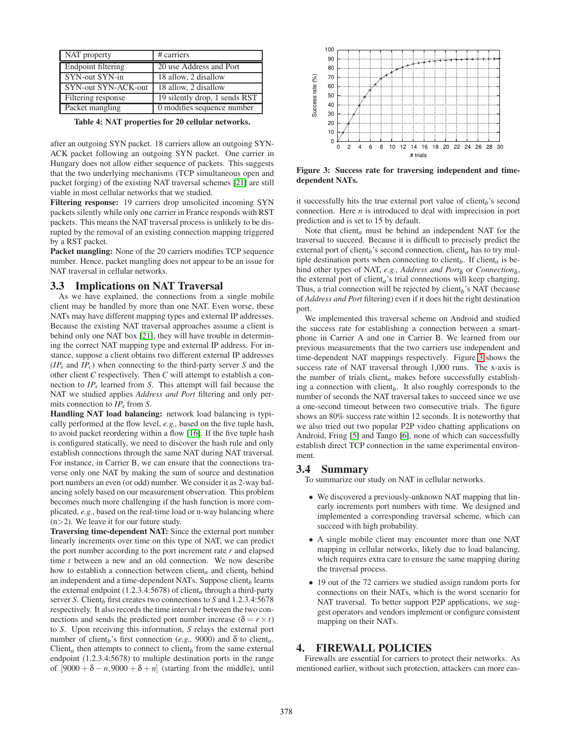| NAT property        | # carriers                    |  |  |  |
|---------------------|-------------------------------|--|--|--|
| Endpoint filtering  | 20 use Address and Port       |  |  |  |
| SYN-out SYN-in      | 18 allow, 2 disallow          |  |  |  |
| SYN-out SYN-ACK-out | 18 allow, 2 disallow          |  |  |  |
| Filtering response  | 19 silently drop, 1 sends RST |  |  |  |
| Packet mangling     | 0 modifies sequence number    |  |  |  |

<span id="page-4-1"></span>**Table 4: NAT properties for 20 cellular networks.**

after an outgoing SYN packet. 18 carriers allow an outgoing SYN-ACK packet following an outgoing SYN packet. One carrier in Hungary does not allow either sequence of packets. This suggests that the two underlying mechanisms (TCP simultaneous open and packet forging) of the existing NAT traversal schemes [\[21\]](#page-11-4) are still viable in most cellular networks that we studied.

**Filtering response:** 19 carriers drop unsolicited incoming SYN packets silently while only one carrier in France responds with RST packets. This means the NAT traversal process is unlikely to be disrupted by the removal of an existing connection mapping triggered by a RST packet.

Packet mangling: None of the 20 carriers modifies TCP sequence number. Hence, packet mangling does not appear to be an issue for NAT traversal in cellular networks.

# <span id="page-4-0"></span>**3.3 Implications on NAT Traversal**

As we have explained, the connections from a single mobile client may be handled by more than one NAT. Even worse, these NATs may have different mapping types and external IP addresses. Because the existing NAT traversal approaches assume a client is behind only one NAT box [\[21\]](#page-11-4), they will have trouble in determining the correct NAT mapping type and external IP address. For instance, suppose a client obtains two different external IP addresses (*IPs* and *IPc*) when connecting to the third-party server *S* and the other client *C* respectively. Then *C* will attempt to establish a connection to *IPs* learned from *S*. This attempt will fail because the NAT we studied applies *Address and Port* filtering and only permits connection to *IPs* from *S*.

**Handling NAT load balancing:** network load balancing is typically performed at the flow level, *e.g.,* based on the five tuple hash, to avoid packet reordering within a flow [\[16\]](#page-11-12). If the five tuple hash is configured statically, we need to discover the hash rule and only establish connections through the same NAT during NAT traversal. For instance, in Carrier B, we can ensure that the connections traverse only one NAT by making the sum of source and destination port numbers an even (or odd) number. We consider it as 2-way balancing solely based on our measurement observation. This problem becomes much more challenging if the hash function is more complicated, *e.g.,* based on the real-time load or n-way balancing where  $(n>2)$ . We leave it for our future study.

**Traversing time-dependent NAT:** Since the external port number linearly increments over time on this type of NAT, we can predict the port number according to the port increment rate  $r$  and elapsed time *t* between a new and an old connection. We now describe how to establish a connection between client<sub>a</sub> and client<sub>b</sub> behind an independent and a time-dependent NATs. Suppose  $\text{client}_b$  learns the external endpoint  $(1.2.3.4:5678)$  of client<sub>a</sub> through a third-party server *S*. Client<sub>*b*</sub> first creates two connections to *S* and 1.2.3.4:5678 respectively. It also records the time interval *t* between the two connections and sends the predicted port number increase ( $\delta = r \times t$ ) to *S*. Upon receiving this information, *S* relays the external port number of client<sub>*b*</sub>'s first connection (*e.g.,* 9000) and δ to client<sub>*a*</sub>. Client<sub>a</sub> then attempts to connect to client<sub>b</sub> from the same external endpoint (1.2.3.4:5678) to multiple destination ports in the range of  $[9000 + \delta - n, 9000 + \delta + n]$  (starting from the middle), until



<span id="page-4-2"></span>**Figure 3: Success rate for traversing independent and timedependent NATs.**

it successfully hits the true external port value of client*b*'s second connection. Here *n* is introduced to deal with imprecision in port prediction and is set to 15 by default.

Note that  $client_a$  must be behind an independent NAT for the traversal to succeed. Because it is difficult to precisely predict the external port of client<sub>*b*</sub>'s second connection, client<sub>*a*</sub> has to try multiple destination ports when connecting to client<sub>*b*</sub>. If client<sub>*a*</sub> is behind other types of NAT, *e.g., Address and Port*<sub>δ</sub> or *Connection*<sub>δ</sub>, the external port of client*a*'s trial connections will keep changing. Thus, a trial connection will be rejected by client<sub>*b*</sub>'s NAT (because of *Address and Port* filtering) even if it does hit the right destination port.

We implemented this traversal scheme on Android and studied the success rate for establishing a connection between a smartphone in Carrier A and one in Carrier B. We learned from our previous measurements that the two carriers use independent and time-dependent NAT mappings respectively. Figure [3](#page-4-2) shows the success rate of NAT traversal through 1,000 runs. The x-axis is the number of trials client<sub>a</sub> makes before successfully establishing a connection with client*b*. It also roughly corresponds to the number of seconds the NAT traversal takes to succeed since we use a one-second timeout between two consecutive trials. The figure shows an 80% success rate within 12 seconds. It is noteworthy that we also tried out two popular P2P video chatting applications on Android, Fring [\[5\]](#page-11-9) and Tango [\[6\]](#page-11-10), none of which can successfully establish direct TCP connection in the same experimental environment.

# **3.4 Summary**

To summarize our study on NAT in cellular networks.

- We discovered a previously-unknown NAT mapping that linearly increments port numbers with time. We designed and implemented a corresponding traversal scheme, which can succeed with high probability.
- A single mobile client may encounter more than one NAT mapping in cellular networks, likely due to load balancing, which requires extra care to ensure the same mapping during the traversal process.
- 19 out of the 72 carriers we studied assign random ports for connections on their NATs, which is the worst scenario for NAT traversal. To better support P2P applications, we suggest operators and vendors implement or configure consistent mapping on their NATs.

# **4. FIREWALL POLICIES**

Firewalls are essential for carriers to protect their networks. As mentioned earlier, without such protection, attackers can more eas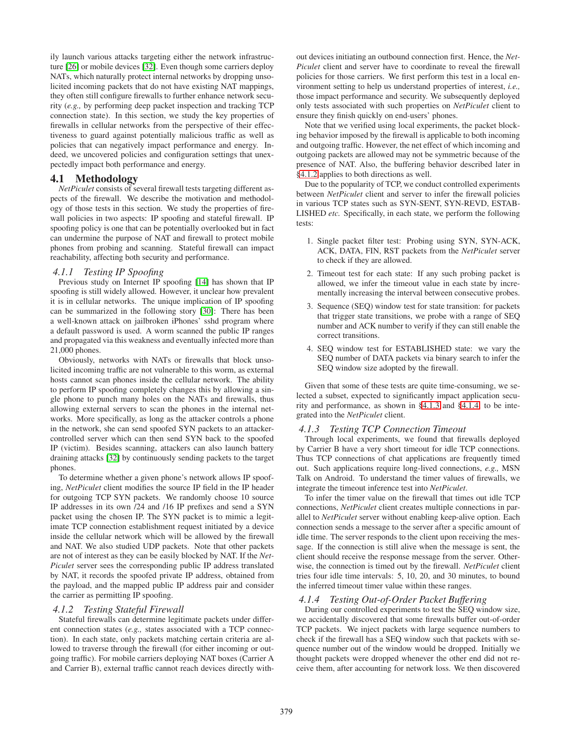ily launch various attacks targeting either the network infrastructure [\[26\]](#page-11-13) or mobile devices [\[32\]](#page-11-14). Even though some carriers deploy NATs, which naturally protect internal networks by dropping unsolicited incoming packets that do not have existing NAT mappings, they often still configure firewalls to further enhance network security (*e.g.,* by performing deep packet inspection and tracking TCP connection state). In this section, we study the key properties of firewalls in cellular networks from the perspective of their effectiveness to guard against potentially malicious traffic as well as policies that can negatively impact performance and energy. Indeed, we uncovered policies and configuration settings that unexpectedly impact both performance and energy.

## **4.1 Methodology**

*NetPiculet* consists of several firewall tests targeting different aspects of the firewall. We describe the motivation and methodology of those tests in this section. We study the properties of firewall policies in two aspects: IP spoofing and stateful firewall. IP spoofing policy is one that can be potentially overlooked but in fact can undermine the purpose of NAT and firewall to protect mobile phones from probing and scanning. Stateful firewall can impact reachability, affecting both security and performance.

# <span id="page-5-0"></span>*4.1.1 Testing IP Spoofing*

Previous study on Internet IP spoofing [\[14\]](#page-11-15) has shown that IP spoofing is still widely allowed. However, it unclear how prevalent it is in cellular networks. The unique implication of IP spoofing can be summarized in the following story [\[30\]](#page-11-16): There has been a well-known attack on jailbroken iPhones' sshd program where a default password is used. A worm scanned the public IP ranges and propagated via this weakness and eventually infected more than 21,000 phones.

Obviously, networks with NATs or firewalls that block unsolicited incoming traffic are not vulnerable to this worm, as external hosts cannot scan phones inside the cellular network. The ability to perform IP spoofing completely changes this by allowing a single phone to punch many holes on the NATs and firewalls, thus allowing external servers to scan the phones in the internal networks. More specifically, as long as the attacker controls a phone in the network, she can send spoofed SYN packets to an attackercontrolled server which can then send SYN back to the spoofed IP (victim). Besides scanning, attackers can also launch battery draining attacks [\[32\]](#page-11-14) by continuously sending packets to the target phones.

To determine whether a given phone's network allows IP spoofing, *NetPiculet* client modifies the source IP field in the IP header for outgoing TCP SYN packets. We randomly choose 10 source IP addresses in its own /24 and /16 IP prefixes and send a SYN packet using the chosen IP. The SYN packet is to mimic a legitimate TCP connection establishment request initiated by a device inside the cellular network which will be allowed by the firewall and NAT. We also studied UDP packets. Note that other packets are not of interest as they can be easily blocked by NAT. If the *Net-Piculet* server sees the corresponding public IP address translated by NAT, it records the spoofed private IP address, obtained from the payload, and the mapped public IP address pair and consider the carrier as permitting IP spoofing.

## <span id="page-5-1"></span>*4.1.2 Testing Stateful Firewall*

Stateful firewalls can determine legitimate packets under different connection states (*e.g.,* states associated with a TCP connection). In each state, only packets matching certain criteria are allowed to traverse through the firewall (for either incoming or outgoing traffic). For mobile carriers deploying NAT boxes (Carrier A and Carrier B), external traffic cannot reach devices directly without devices initiating an outbound connection first. Hence, the *Net-Piculet* client and server have to coordinate to reveal the firewall policies for those carriers. We first perform this test in a local environment setting to help us understand properties of interest, *i.e.,* those impact performance and security. We subsequently deployed only tests associated with such properties on *NetPiculet* client to ensure they finish quickly on end-users' phones.

Note that we verified using local experiments, the packet blocking behavior imposed by the firewall is applicable to both incoming and outgoing traffic. However, the net effect of which incoming and outgoing packets are allowed may not be symmetric because of the presence of NAT. Also, the buffering behavior described later in [§4.1.2](#page-5-1) applies to both directions as well.

Due to the popularity of TCP, we conduct controlled experiments between *NetPiculet* client and server to infer the firewall policies in various TCP states such as SYN-SENT, SYN-REVD, ESTAB-LISHED *etc.* Specifically, in each state, we perform the following tests:

- 1. Single packet filter test: Probing using SYN, SYN-ACK, ACK, DATA, FIN, RST packets from the *NetPiculet* server to check if they are allowed.
- 2. Timeout test for each state: If any such probing packet is allowed, we infer the timeout value in each state by incrementally increasing the interval between consecutive probes.
- 3. Sequence (SEQ) window test for state transition: for packets that trigger state transitions, we probe with a range of SEQ number and ACK number to verify if they can still enable the correct transitions.
- 4. SEQ window test for ESTABLISHED state: we vary the SEQ number of DATA packets via binary search to infer the SEQ window size adopted by the firewall.

Given that some of these tests are quite time-consuming, we selected a subset, expected to significantly impact application security and performance, as shown in [§4.1.3](#page-5-2) and [§4.1.4,](#page-5-3) to be integrated into the *NetPiculet* client.

#### <span id="page-5-2"></span>*4.1.3 Testing TCP Connection Timeout*

Through local experiments, we found that firewalls deployed by Carrier B have a very short timeout for idle TCP connections. Thus TCP connections of chat applications are frequently timed out. Such applications require long-lived connections, *e.g.,* MSN Talk on Android. To understand the timer values of firewalls, we integrate the timeout inference test into *NetPiculet*.

To infer the timer value on the firewall that times out idle TCP connections, *NetPiculet* client creates multiple connections in parallel to *NetPiculet* server without enabling keep-alive option. Each connection sends a message to the server after a specific amount of idle time. The server responds to the client upon receiving the message. If the connection is still alive when the message is sent, the client should receive the response message from the server. Otherwise, the connection is timed out by the firewall. *NetPiculet* client tries four idle time intervals: 5, 10, 20, and 30 minutes, to bound the inferred timeout timer value within these ranges.

#### <span id="page-5-3"></span>*4.1.4 Testing Out-of-Order Packet Buffering*

During our controlled experiments to test the SEQ window size, we accidentally discovered that some firewalls buffer out-of-order TCP packets. We inject packets with large sequence numbers to check if the firewall has a SEQ window such that packets with sequence number out of the window would be dropped. Initially we thought packets were dropped whenever the other end did not receive them, after accounting for network loss. We then discovered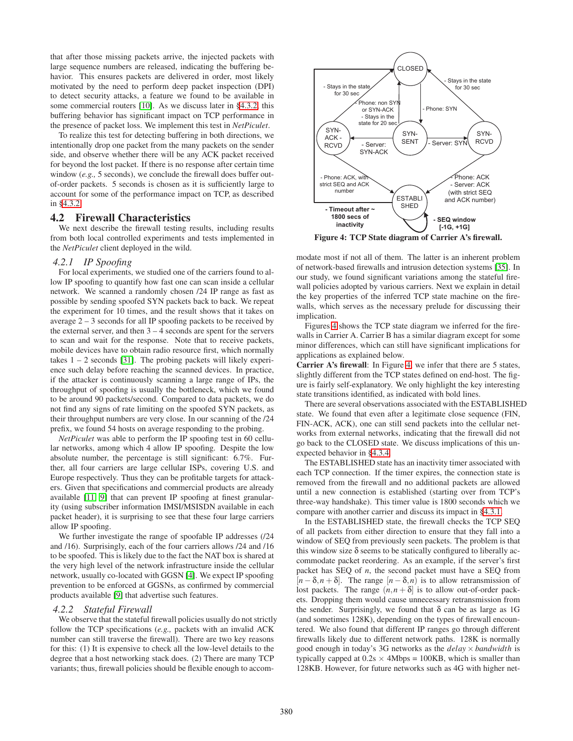that after those missing packets arrive, the injected packets with large sequence numbers are released, indicating the buffering behavior. This ensures packets are delivered in order, most likely motivated by the need to perform deep packet inspection (DPI) to detect security attacks, a feature we found to be available in some commercial routers [\[10\]](#page-11-17). As we discuss later in [§4.3.2,](#page-7-1) this buffering behavior has significant impact on TCP performance in the presence of packet loss. We implement this test in *NetPiculet*.

To realize this test for detecting buffering in both directions, we intentionally drop one packet from the many packets on the sender side, and observe whether there will be any ACK packet received for beyond the lost packet. If there is no response after certain time window (*e.g.,* 5 seconds), we conclude the firewall does buffer outof-order packets. 5 seconds is chosen as it is sufficiently large to account for some of the performance impact on TCP, as described in [§4.3.2.](#page-7-1)

### **4.2 Firewall Characteristics**

We next describe the firewall testing results, including results from both local controlled experiments and tests implemented in the *NetPiculet* client deployed in the wild.

### <span id="page-6-0"></span>*4.2.1 IP Spoofing*

For local experiments, we studied one of the carriers found to allow IP spoofing to quantify how fast one can scan inside a cellular network. We scanned a randomly chosen /24 IP range as fast as possible by sending spoofed SYN packets back to back. We repeat the experiment for 10 times, and the result shows that it takes on average  $2 - 3$  seconds for all IP spoofing packets to be received by the external server, and then  $3 - 4$  seconds are spent for the servers to scan and wait for the response. Note that to receive packets, mobile devices have to obtain radio resource first, which normally takes  $1 - 2$  seconds [\[31\]](#page-11-18). The probing packets will likely experience such delay before reaching the scanned devices. In practice, if the attacker is continuously scanning a large range of IPs, the throughput of spoofing is usually the bottleneck, which we found to be around 90 packets/second. Compared to data packets, we do not find any signs of rate limiting on the spoofed SYN packets, as their throughput numbers are very close. In our scanning of the /24 prefix, we found 54 hosts on average responding to the probing.

*NetPiculet* was able to perform the IP spoofing test in 60 cellular networks, among which 4 allow IP spoofing. Despite the low absolute number, the percentage is still significant: 6.7%. Further, all four carriers are large cellular ISPs, covering U.S. and Europe respectively. Thus they can be profitable targets for attackers. Given that specifications and commercial products are already available [\[11,](#page-11-19) [9\]](#page-11-20) that can prevent IP spoofing at finest granularity (using subscriber information IMSI/MSISDN available in each packet header), it is surprising to see that these four large carriers allow IP spoofing.

We further investigate the range of spoofable IP addresses (/24 and /16). Surprisingly, each of the four carriers allows /24 and /16 to be spoofed. This is likely due to the fact the NAT box is shared at the very high level of the network infrastructure inside the cellular network, usually co-located with GGSN [\[4\]](#page-11-11). We expect IP spoofing prevention to be enforced at GGSNs, as confirmed by commercial products available [\[9\]](#page-11-20) that advertise such features.

#### *4.2.2 Stateful Firewall*

We observe that the stateful firewall policies usually do not strictly follow the TCP specifications (*e.g.,* packets with an invalid ACK number can still traverse the firewall). There are two key reasons for this: (1) It is expensive to check all the low-level details to the degree that a host networking stack does. (2) There are many TCP variants; thus, firewall policies should be flexible enough to accom-



<span id="page-6-1"></span>**Figure 4: TCP State diagram of Carrier A's firewall.**

modate most if not all of them. The latter is an inherent problem of network-based firewalls and intrusion detection systems [\[35\]](#page-11-21). In our study, we found significant variations among the stateful firewall policies adopted by various carriers. Next we explain in detail the key properties of the inferred TCP state machine on the firewalls, which serves as the necessary prelude for discussing their implication.

Figures [4](#page-6-1) shows the TCP state diagram we inferred for the firewalls in Carrier A. Carrier B has a similar diagram except for some minor differences, which can still have significant implications for applications as explained below.

**Carrier A's firewall**: In Figure [4,](#page-6-1) we infer that there are 5 states, slightly different from the TCP states defined on end-host. The figure is fairly self-explanatory. We only highlight the key interesting state transitions identified, as indicated with bold lines.

There are several observations associated with the ESTABLISHED state. We found that even after a legitimate close sequence (FIN, FIN-ACK, ACK), one can still send packets into the cellular networks from external networks, indicating that the firewall did not go back to the CLOSED state. We discuss implications of this unexpected behavior in [§4.3.4.](#page-9-1)

The ESTABLISHED state has an inactivity timer associated with each TCP connection. If the timer expires, the connection state is removed from the firewall and no additional packets are allowed until a new connection is established (starting over from TCP's three-way handshake). This timer value is 1800 seconds which we compare with another carrier and discuss its impact in [§4.3.1.](#page-7-0)

In the ESTABLISHED state, the firewall checks the TCP SEQ of all packets from either direction to ensure that they fall into a window of SEQ from previously seen packets. The problem is that this window size  $\delta$  seems to be statically configured to liberally accommodate packet reordering. As an example, if the server's first packet has SEQ of *n*, the second packet must have a SEQ from  $[n - \delta, n + \delta]$ . The range  $[n - \delta, n]$  is to allow retransmission of lost packets. The range  $(n, n + \delta)$  is to allow out-of-order packets. Dropping them would cause unnecessary retransmission from the sender. Surprisingly, we found that  $\delta$  can be as large as 1G (and sometimes 128K), depending on the types of firewall encountered. We also found that different IP ranges go through different firewalls likely due to different network paths. 128K is normally good enough in today's 3G networks as the *delay* × *bandwidth* is typically capped at  $0.2s \times 4Mbps = 100KB$ , which is smaller than 128KB. However, for future networks such as 4G with higher net-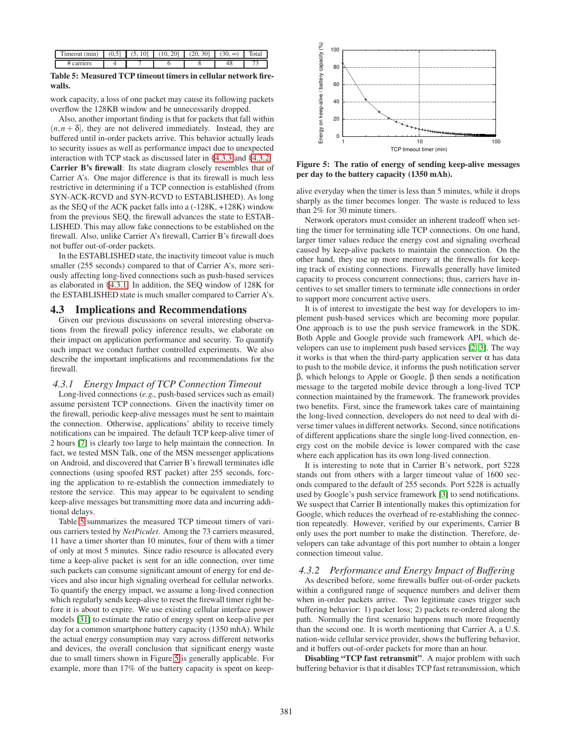| m.<br>min<br>1meou<br> | $\sim$ $\sim$<br>$\mathsf{v}\mathsf{v}$ | $\mathbf{v}$<br>$\overline{\phantom{a}}$<br>a d | 201<br>10 | ິ<br>ີ | $\infty$<br>1U.<br>◡ | T <sub>O</sub> ta <sub>1</sub> |
|------------------------|-----------------------------------------|-------------------------------------------------|-----------|--------|----------------------|--------------------------------|
| 1615                   |                                         |                                                 |           |        | . .                  |                                |

### <span id="page-7-2"></span>**Table 5: Measured TCP timeout timers in cellular network firewalls.**

work capacity, a loss of one packet may cause its following packets overflow the 128KB window and be unnecessarily dropped.

Also, another important finding is that for packets that fall within  $(n, n + \delta)$ , they are not delivered immediately. Instead, they are buffered until in-order packets arrive. This behavior actually leads to security issues as well as performance impact due to unexpected interaction with TCP stack as discussed later in [§4.3.3](#page-9-0) and [§4.3.2.](#page-7-1) **Carrier B's firewall**: Its state diagram closely resembles that of Carrier A's. One major difference is that its firewall is much less restrictive in determining if a TCP connection is established (from SYN-ACK-RCVD and SYN-RCVD to ESTABLISHED). As long as the SEQ of the ACK packet falls into a (-128K, +128K) window from the previous SEQ, the firewall advances the state to ESTAB-LISHED. This may allow fake connections to be established on the firewall. Also, unlike Carrier A's firewall, Carrier B's firewall does not buffer out-of-order packets.

In the ESTABLISHED state, the inactivity timeout value is much smaller (255 seconds) compared to that of Carrier A's, more seriously affecting long-lived connections such as push-based services as elaborated in [§4.3.1.](#page-7-0) In addition, the SEQ window of 128K for the ESTABLISHED state is much smaller compared to Carrier A's.

#### **4.3 Implications and Recommendations**

Given our previous discussions on several interesting observations from the firewall policy inference results, we elaborate on their impact on application performance and security. To quantify such impact we conduct further controlled experiments. We also describe the important implications and recommendations for the firewall.

#### <span id="page-7-0"></span>*4.3.1 Energy Impact of TCP Connection Timeout*

Long-lived connections (*e.g.,* push-based services such as email) assume persistent TCP connections. Given the inactivity timer on the firewall, periodic keep-alive messages must be sent to maintain the connection. Otherwise, applications' ability to receive timely notifications can be impaired. The default TCP keep-alive timer of 2 hours [\[7\]](#page-11-22) is clearly too large to help maintain the connection. In fact, we tested MSN Talk, one of the MSN messenger applications on Android, and discovered that Carrier B's firewall terminates idle connections (using spoofed RST packet) after 255 seconds, forcing the application to re-establish the connection immediately to restore the service. This may appear to be equivalent to sending keep-alive messages but transmitting more data and incurring additional delays.

Table [5](#page-7-2) summarizes the measured TCP timeout timers of various carriers tested by *NetPiculet*. Among the 73 carriers measured, 11 have a timer shorter than 10 minutes, four of them with a timer of only at most 5 minutes. Since radio resource is allocated every time a keep-alive packet is sent for an idle connection, over time such packets can consume significant amount of energy for end devices and also incur high signaling overhead for cellular networks. To quantify the energy impact, we assume a long-lived connection which regularly sends keep-alive to reset the firewall timer right before it is about to expire. We use existing cellular interface power models [\[31\]](#page-11-18) to estimate the ratio of energy spent on keep-alive per day for a common smartphone battery capacity (1350 mhA). While the actual energy consumption may vary across different networks and devices, the overall conclusion that significant energy waste due to small timers shown in Figure [5](#page-7-3) is generally applicable. For example, more than 17% of the battery capacity is spent on keep-



<span id="page-7-3"></span>**Figure 5: The ratio of energy of sending keep-alive messages per day to the battery capacity (1350 mAh).**

alive everyday when the timer is less than 5 minutes, while it drops sharply as the timer becomes longer. The waste is reduced to less than 2% for 30 minute timers.

Network operators must consider an inherent tradeoff when setting the timer for terminating idle TCP connections. On one hand, larger timer values reduce the energy cost and signaling overhead caused by keep-alive packets to maintain the connection. On the other hand, they use up more memory at the firewalls for keeping track of existing connections. Firewalls generally have limited capacity to process concurrent connections; thus, carriers have incentives to set smaller timers to terminate idle connections in order to support more concurrent active users.

It is of interest to investigate the best way for developers to implement push-based services which are becoming more popular. One approach is to use the push service framework in the SDK. Both Apple and Google provide such framework API, which developers can use to implement push based services [\[2,](#page-11-23) [3\]](#page-11-24). The way it works is that when the third-party application server  $\alpha$  has data to push to the mobile device, it informs the push notification server β, which belongs to Apple or Google, β then sends a notification message to the targeted mobile device through a long-lived TCP connection maintained by the framework. The framework provides two benefits. First, since the framework takes care of maintaining the long-lived connection, developers do not need to deal with diverse timer values in different networks. Second, since notifications of different applications share the single long-lived connection, energy cost on the mobile device is lower compared with the case where each application has its own long-lived connection.

It is interesting to note that in Carrier B's network, port 5228 stands out from others with a larger timeout value of 1600 seconds compared to the default of 255 seconds. Port 5228 is actually used by Google's push service framework [\[3\]](#page-11-24) to send notifications. We suspect that Carrier B intentionally makes this optimization for Google, which reduces the overhead of re-establishing the connection repeatedly. However, verified by our experiments, Carrier B only uses the port number to make the distinction. Therefore, developers can take advantage of this port number to obtain a longer connection timeout value.

#### <span id="page-7-1"></span>*4.3.2 Performance and Energy Impact of Buffering*

As described before, some firewalls buffer out-of-order packets within a configured range of sequence numbers and deliver them when in-order packets arrive. Two legitimate cases trigger such buffering behavior: 1) packet loss; 2) packets re-ordered along the path. Normally the first scenario happens much more frequently than the second one. It is worth mentioning that Carrier A, a U.S. nation-wide cellular service provider, shows the buffering behavior, and it buffers out-of-order packets for more than an hour.

**Disabling "TCP fast retransmit"**. A major problem with such buffering behavior is that it disables TCP fast retransmission, which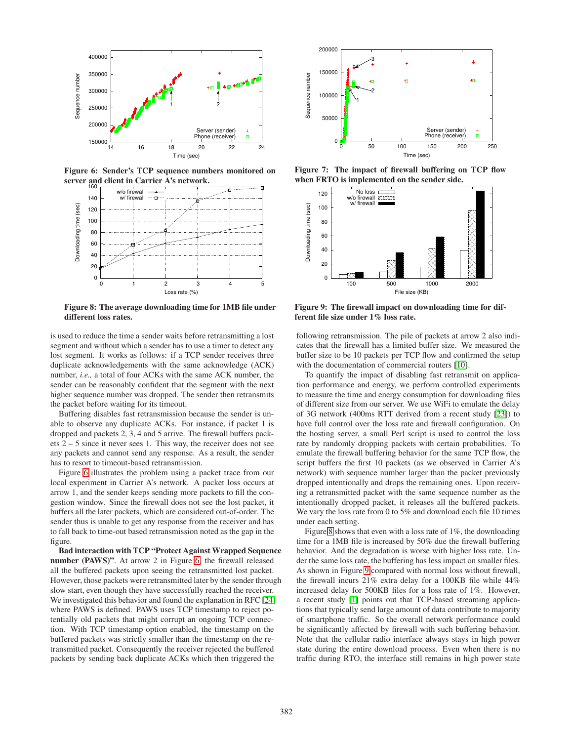

**Figure 6: Sender's TCP sequence numbers monitored on server and client in Carrier A's network.** 

<span id="page-8-0"></span>

<span id="page-8-1"></span>**Figure 8: The average downloading time for 1MB file under different loss rates.**

is used to reduce the time a sender waits before retransmitting a lost segment and without which a sender has to use a timer to detect any lost segment. It works as follows: if a TCP sender receives three duplicate acknowledgements with the same acknowledge (ACK) number, *i.e.,* a total of four ACKs with the same ACK number, the sender can be reasonably confident that the segment with the next higher sequence number was dropped. The sender then retransmits the packet before waiting for its timeout.

Buffering disables fast retransmission because the sender is unable to observe any duplicate ACKs. For instance, if packet 1 is dropped and packets 2, 3, 4 and 5 arrive. The firewall buffers packets 2 – 5 since it never sees 1. This way, the receiver does not see any packets and cannot send any response. As a result, the sender has to resort to timeout-based retransmission.

Figure [6](#page-8-0) illustrates the problem using a packet trace from our local experiment in Carrier A's network. A packet loss occurs at arrow 1, and the sender keeps sending more packets to fill the congestion window. Since the firewall does not see the lost packet, it buffers all the later packets, which are considered out-of-order. The sender thus is unable to get any response from the receiver and has to fall back to time-out based retransmission noted as the gap in the figure.

**Bad interaction with TCP "Protect Against Wrapped Sequence number (PAWS)"**. At arrow 2 in Figure [6,](#page-8-0) the firewall released all the buffered packets upon seeing the retransmitted lost packet. However, those packets were retransmitted later by the sender through slow start, even though they have successfully reached the receiver. We investigated this behavior and found the explanation in RFC [\[24\]](#page-11-25) where PAWS is defined. PAWS uses TCP timestamp to reject potentially old packets that might corrupt an ongoing TCP connection. With TCP timestamp option enabled, the timestamp on the buffered packets was strictly smaller than the timestamp on the retransmitted packet. Consequently the receiver rejected the buffered packets by sending back duplicate ACKs which then triggered the



**Figure 7: The impact of firewall buffering on TCP flow when FRTO is implemented on the sender side.**

<span id="page-8-3"></span>

<span id="page-8-2"></span>**Figure 9: The firewall impact on downloading time for different file size under 1% loss rate.**

following retransmission. The pile of packets at arrow 2 also indicates that the firewall has a limited buffer size. We measured the buffer size to be 10 packets per TCP flow and confirmed the setup with the documentation of commercial routers [\[10\]](#page-11-17).

To quantify the impact of disabling fast retransmit on application performance and energy, we perform controlled experiments to measure the time and energy consumption for downloading files of different size from our server. We use WiFi to emulate the delay of 3G network (400ms RTT derived from a recent study [\[23\]](#page-11-26)) to have full control over the loss rate and firewall configuration. On the hosting server, a small Perl script is used to control the loss rate by randomly dropping packets with certain probabilities. To emulate the firewall buffering behavior for the same TCP flow, the script buffers the first 10 packets (as we observed in Carrier A's network) with sequence number larger than the packet previously dropped intentionally and drops the remaining ones. Upon receiving a retransmitted packet with the same sequence number as the intentionally dropped packet, it releases all the buffered packets. We vary the loss rate from 0 to 5% and download each file 10 times under each setting.

Figure [8](#page-8-1) shows that even with a loss rate of 1%, the downloading time for a 1MB file is increased by 50% due the firewall buffering behavior. And the degradation is worse with higher loss rate. Under the same loss rate, the buffering has less impact on smaller files. As shown in Figure [9](#page-8-2) compared with normal loss without firewall, the firewall incurs 21% extra delay for a 100KB file while 44% increased delay for 500KB files for a loss rate of 1%. However, a recent study [\[1\]](#page-11-27) points out that TCP-based streaming applications that typically send large amount of data contribute to majority of smartphone traffic. So the overall network performance could be significantly affected by firewall with such buffering behavior. Note that the cellular radio interface always stays in high power state during the entire download process. Even when there is no traffic during RTO, the interface still remains in high power state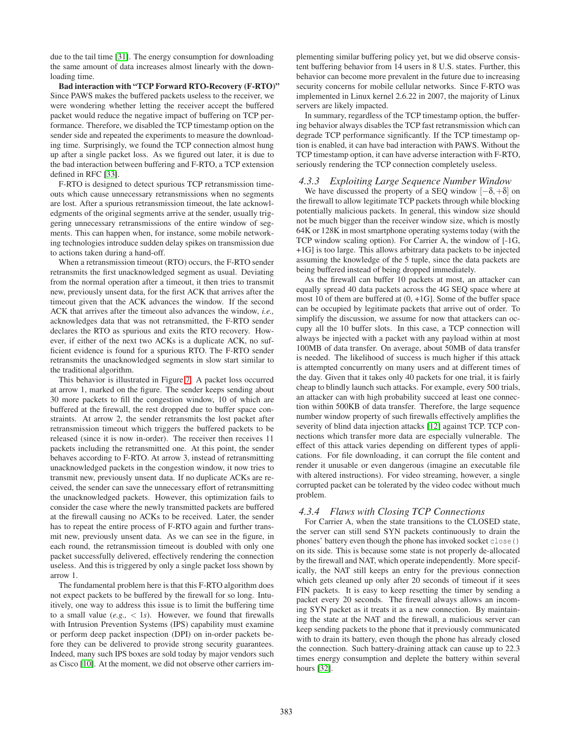due to the tail time [\[31\]](#page-11-18). The energy consumption for downloading the same amount of data increases almost linearly with the downloading time.

### **Bad interaction with "TCP Forward RTO-Recovery (F-RTO)"**

Since PAWS makes the buffered packets useless to the receiver, we were wondering whether letting the receiver accept the buffered packet would reduce the negative impact of buffering on TCP performance. Therefore, we disabled the TCP timestamp option on the sender side and repeated the experiments to measure the downloading time. Surprisingly, we found the TCP connection almost hung up after a single packet loss. As we figured out later, it is due to the bad interaction between buffering and F-RTO, a TCP extension defined in RFC [\[33\]](#page-11-28).

F-RTO is designed to detect spurious TCP retransmission timeouts which cause unnecessary retransmissions when no segments are lost. After a spurious retransmission timeout, the late acknowledgments of the original segments arrive at the sender, usually triggering unnecessary retransmissions of the entire window of segments. This can happen when, for instance, some mobile networking technologies introduce sudden delay spikes on transmission due to actions taken during a hand-off.

When a retransmission timeout (RTO) occurs, the F-RTO sender retransmits the first unacknowledged segment as usual. Deviating from the normal operation after a timeout, it then tries to transmit new, previously unsent data, for the first ACK that arrives after the timeout given that the ACK advances the window. If the second ACK that arrives after the timeout also advances the window, *i.e.,* acknowledges data that was not retransmitted, the F-RTO sender declares the RTO as spurious and exits the RTO recovery. However, if either of the next two ACKs is a duplicate ACK, no sufficient evidence is found for a spurious RTO. The F-RTO sender retransmits the unacknowledged segments in slow start similar to the traditional algorithm.

This behavior is illustrated in Figure [7.](#page-8-3) A packet loss occurred at arrow 1, marked on the figure. The sender keeps sending about 30 more packets to fill the congestion window, 10 of which are buffered at the firewall, the rest dropped due to buffer space constraints. At arrow 2, the sender retransmits the lost packet after retransmission timeout which triggers the buffered packets to be released (since it is now in-order). The receiver then receives 11 packets including the retransmitted one. At this point, the sender behaves according to F-RTO. At arrow 3, instead of retransmitting unacknowledged packets in the congestion window, it now tries to transmit new, previously unsent data. If no duplicate ACKs are received, the sender can save the unnecessary effort of retransmitting the unacknowledged packets. However, this optimization fails to consider the case where the newly transmitted packets are buffered at the firewall causing no ACKs to be received. Later, the sender has to repeat the entire process of F-RTO again and further transmit new, previously unsent data. As we can see in the figure, in each round, the retransmission timeout is doubled with only one packet successfully delivered, effectively rendering the connection useless. And this is triggered by only a single packet loss shown by arrow 1.

The fundamental problem here is that this F-RTO algorithm does not expect packets to be buffered by the firewall for so long. Intuitively, one way to address this issue is to limit the buffering time to a small value  $(e.g., < 1s)$ . However, we found that firewalls with Intrusion Prevention Systems (IPS) capability must examine or perform deep packet inspection (DPI) on in-order packets before they can be delivered to provide strong security guarantees. Indeed, many such IPS boxes are sold today by major vendors such as Cisco [\[10\]](#page-11-17). At the moment, we did not observe other carriers implementing similar buffering policy yet, but we did observe consistent buffering behavior from 14 users in 8 U.S. states. Further, this behavior can become more prevalent in the future due to increasing security concerns for mobile cellular networks. Since F-RTO was implemented in Linux kernel 2.6.22 in 2007, the majority of Linux servers are likely impacted.

In summary, regardless of the TCP timestamp option, the buffering behavior always disables the TCP fast retransmission which can degrade TCP performance significantly. If the TCP timestamp option is enabled, it can have bad interaction with PAWS. Without the TCP timestamp option, it can have adverse interaction with F-RTO, seriously rendering the TCP connection completely useless.

#### <span id="page-9-0"></span>*4.3.3 Exploiting Large Sequence Number Window*

We have discussed the property of a SEQ window  $[-\delta, +\delta]$  on the firewall to allow legitimate TCP packets through while blocking potentially malicious packets. In general, this window size should not be much bigger than the receiver window size, which is mostly 64K or 128K in most smartphone operating systems today (with the TCP window scaling option). For Carrier A, the window of [-1G, +1G] is too large. This allows arbitrary data packets to be injected assuming the knowledge of the 5 tuple, since the data packets are being buffered instead of being dropped immediately.

As the firewall can buffer 10 packets at most, an attacker can equally spread 40 data packets across the 4G SEQ space where at most 10 of them are buffered at (0, +1G]. Some of the buffer space can be occupied by legitimate packets that arrive out of order. To simplify the discussion, we assume for now that attackers can occupy all the 10 buffer slots. In this case, a TCP connection will always be injected with a packet with any payload within at most 100MB of data transfer. On average, about 50MB of data transfer is needed. The likelihood of success is much higher if this attack is attempted concurrently on many users and at different times of the day. Given that it takes only 40 packets for one trial, it is fairly cheap to blindly launch such attacks. For example, every 500 trials, an attacker can with high probability succeed at least one connection within 500KB of data transfer. Therefore, the large sequence number window property of such firewalls effectively amplifies the severity of blind data injection attacks [\[12\]](#page-11-29) against TCP. TCP connections which transfer more data are especially vulnerable. The effect of this attack varies depending on different types of applications. For file downloading, it can corrupt the file content and render it unusable or even dangerous (imagine an executable file with altered instructions). For video streaming, however, a single corrupted packet can be tolerated by the video codec without much problem.

### <span id="page-9-1"></span>*4.3.4 Flaws with Closing TCP Connections*

For Carrier A, when the state transitions to the CLOSED state, the server can still send SYN packets continuously to drain the phones' battery even though the phone has invoked socket close() on its side. This is because some state is not properly de-allocated by the firewall and NAT, which operate independently. More specifically, the NAT still keeps an entry for the previous connection which gets cleaned up only after 20 seconds of timeout if it sees FIN packets. It is easy to keep resetting the timer by sending a packet every 20 seconds. The firewall always allows an incoming SYN packet as it treats it as a new connection. By maintaining the state at the NAT and the firewall, a malicious server can keep sending packets to the phone that it previously communicated with to drain its battery, even though the phone has already closed the connection. Such battery-draining attack can cause up to 22.3 times energy consumption and deplete the battery within several hours [\[32\]](#page-11-14).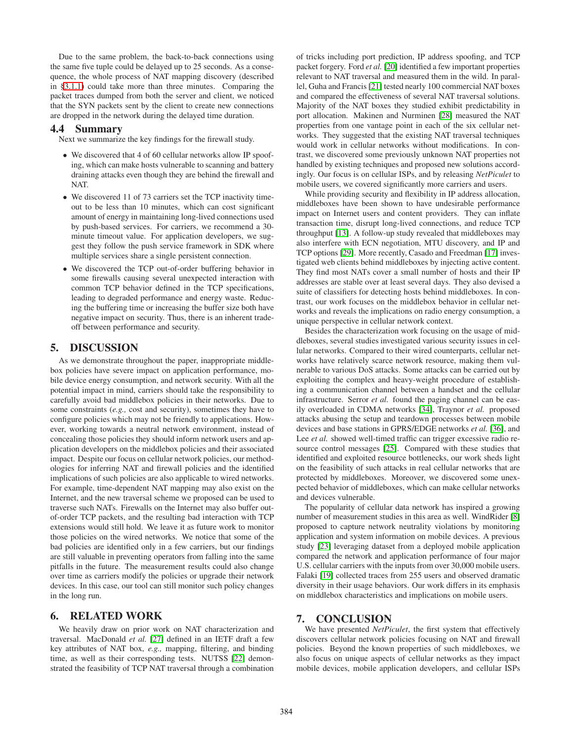Due to the same problem, the back-to-back connections using the same five tuple could be delayed up to 25 seconds. As a consequence, the whole process of NAT mapping discovery (described in [§3.1.1\)](#page-2-0) could take more than three minutes. Comparing the packet traces dumped from both the server and client, we noticed that the SYN packets sent by the client to create new connections are dropped in the network during the delayed time duration.

# **4.4 Summary**

Next we summarize the key findings for the firewall study.

- We discovered that 4 of 60 cellular networks allow IP spoofing, which can make hosts vulnerable to scanning and battery draining attacks even though they are behind the firewall and NAT.
- We discovered 11 of 73 carriers set the TCP inactivity timeout to be less than 10 minutes, which can cost significant amount of energy in maintaining long-lived connections used by push-based services. For carriers, we recommend a 30 minute timeout value. For application developers, we suggest they follow the push service framework in SDK where multiple services share a single persistent connection.
- We discovered the TCP out-of-order buffering behavior in some firewalls causing several unexpected interaction with common TCP behavior defined in the TCP specifications, leading to degraded performance and energy waste. Reducing the buffering time or increasing the buffer size both have negative impact on security. Thus, there is an inherent tradeoff between performance and security.

# **5. DISCUSSION**

As we demonstrate throughout the paper, inappropriate middlebox policies have severe impact on application performance, mobile device energy consumption, and network security. With all the potential impact in mind, carriers should take the responsibility to carefully avoid bad middlebox policies in their networks. Due to some constraints (*e.g.,* cost and security), sometimes they have to configure policies which may not be friendly to applications. However, working towards a neutral network environment, instead of concealing those policies they should inform network users and application developers on the middlebox policies and their associated impact. Despite our focus on cellular network policies, our methodologies for inferring NAT and firewall policies and the identified implications of such policies are also applicable to wired networks. For example, time-dependent NAT mapping may also exist on the Internet, and the new traversal scheme we proposed can be used to traverse such NATs. Firewalls on the Internet may also buffer outof-order TCP packets, and the resulting bad interaction with TCP extensions would still hold. We leave it as future work to monitor those policies on the wired networks. We notice that some of the bad policies are identified only in a few carriers, but our findings are still valuable in preventing operators from falling into the same pitfalls in the future. The measurement results could also change over time as carriers modify the policies or upgrade their network devices. In this case, our tool can still monitor such policy changes in the long run.

# **6. RELATED WORK**

We heavily draw on prior work on NAT characterization and traversal. MacDonald *et al.* [\[27\]](#page-11-30) defined in an IETF draft a few key attributes of NAT box, *e.g.,* mapping, filtering, and binding time, as well as their corresponding tests. NUTSS [\[22\]](#page-11-0) demonstrated the feasibility of TCP NAT traversal through a combination

of tricks including port prediction, IP address spoofing, and TCP packet forgery. Ford *et al.* [\[20\]](#page-11-2) identified a few important properties relevant to NAT traversal and measured them in the wild. In parallel, Guha and Francis [\[21\]](#page-11-4) tested nearly 100 commercial NAT boxes and compared the effectiveness of several NAT traversal solutions. Majority of the NAT boxes they studied exhibit predictability in port allocation. Makinen and Nurminen [\[28\]](#page-11-31) measured the NAT properties from one vantage point in each of the six cellular networks. They suggested that the existing NAT traversal techniques would work in cellular networks without modifications. In contrast, we discovered some previously unknown NAT properties not handled by existing techniques and proposed new solutions accordingly. Our focus is on cellular ISPs, and by releasing *NetPiculet* to mobile users, we covered significantly more carriers and users.

While providing security and flexibility in IP address allocation, middleboxes have been shown to have undesirable performance impact on Internet users and content providers. They can inflate transaction time, disrupt long-lived connections, and reduce TCP throughput [\[13\]](#page-11-5). A follow-up study revealed that middleboxes may also interfere with ECN negotiation, MTU discovery, and IP and TCP options [\[29\]](#page-11-32). More recently, Casado and Freedman [\[17\]](#page-11-33) investigated web clients behind middleboxes by injecting active content. They find most NATs cover a small number of hosts and their IP addresses are stable over at least several days. They also devised a suite of classifiers for detecting hosts behind middleboxes. In contrast, our work focuses on the middlebox behavior in cellular networks and reveals the implications on radio energy consumption, a unique perspective in cellular network context.

Besides the characterization work focusing on the usage of middleboxes, several studies investigated various security issues in cellular networks. Compared to their wired counterparts, cellular networks have relatively scarce network resource, making them vulnerable to various DoS attacks. Some attacks can be carried out by exploiting the complex and heavy-weight procedure of establishing a communication channel between a handset and the cellular infrastructure. Serror *et al.* found the paging channel can be easily overloaded in CDMA networks [\[34\]](#page-11-6), Traynor *et al.* proposed attacks abusing the setup and teardown processes between mobile devices and base stations in GPRS/EDGE networks *et al.* [\[36\]](#page-11-7), and Lee *et al.* showed well-timed traffic can trigger excessive radio resource control messages [\[25\]](#page-11-8). Compared with these studies that identified and exploited resource bottlenecks, our work sheds light on the feasibility of such attacks in real cellular networks that are protected by middleboxes. Moreover, we discovered some unexpected behavior of middleboxes, which can make cellular networks and devices vulnerable.

The popularity of cellular data network has inspired a growing number of measurement studies in this area as well. WindRider [\[8\]](#page-11-34) proposed to capture network neutrality violations by monitoring application and system information on mobile devices. A previous study [\[23\]](#page-11-26) leveraging dataset from a deployed mobile application compared the network and application performance of four major U.S. cellular carriers with the inputs from over 30,000 mobile users. Falaki [\[19\]](#page-11-35) collected traces from 255 users and observed dramatic diversity in their usage behaviors. Our work differs in its emphasis on middlebox characteristics and implications on mobile users.

# **7. CONCLUSION**

We have presented *NetPiculet*, the first system that effectively discovers cellular network policies focusing on NAT and firewall policies. Beyond the known properties of such middleboxes, we also focus on unique aspects of cellular networks as they impact mobile devices, mobile application developers, and cellular ISPs